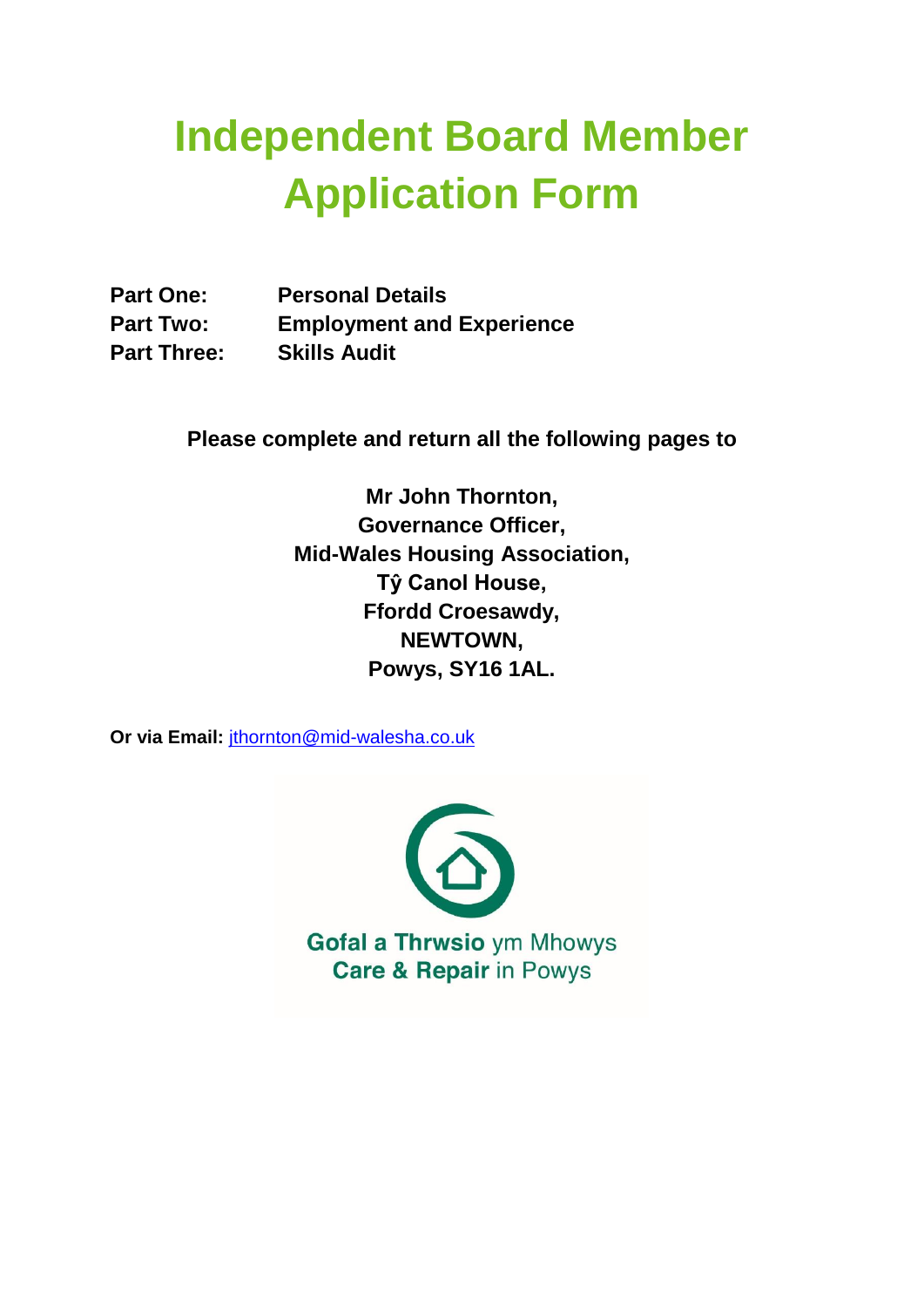# **Independent Board Member Application Form**

| <b>Part One:</b>   | <b>Personal Details</b>          |
|--------------------|----------------------------------|
| <b>Part Two:</b>   | <b>Employment and Experience</b> |
| <b>Part Three:</b> | <b>Skills Audit</b>              |

**Please complete and return all the following pages to**

**Mr John Thornton, Governance Officer, Mid-Wales Housing Association, Tŷ Canol House, Ffordd Croesawdy, NEWTOWN, Powys, SY16 1AL.**

**Or via Email:** jthornton@mid-walesha.co.uk

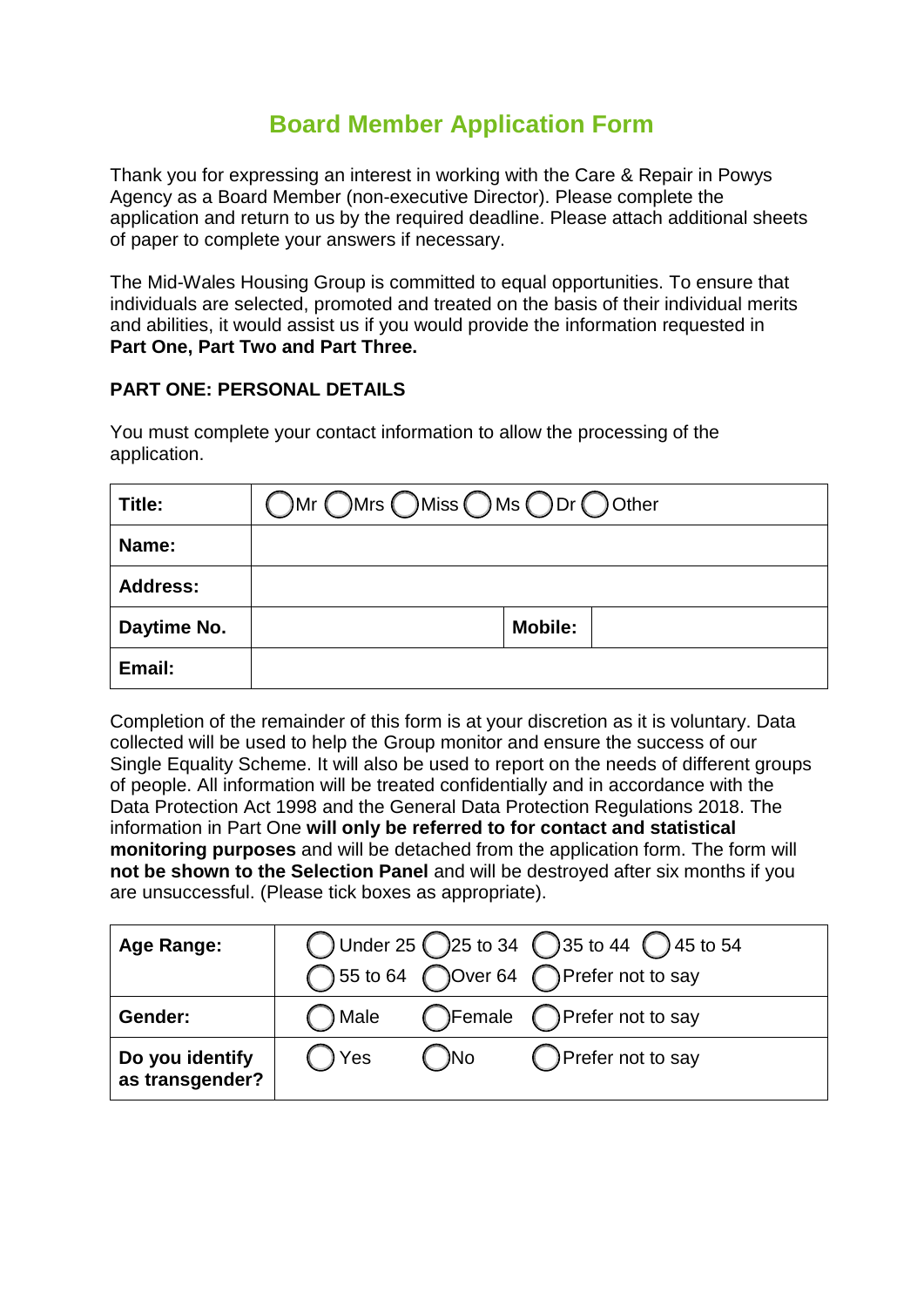# **Board Member Application Form**

Thank you for expressing an interest in working with the Care & Repair in Powys Agency as a Board Member (non-executive Director). Please complete the application and return to us by the required deadline. Please attach additional sheets of paper to complete your answers if necessary.

The Mid-Wales Housing Group is committed to equal opportunities. To ensure that individuals are selected, promoted and treated on the basis of their individual merits and abilities, it would assist us if you would provide the information requested in **Part One, Part Two and Part Three.**

#### **PART ONE: PERSONAL DETAILS**

You must complete your contact information to allow the processing of the application.

| Title:          | OMr OMrs OMiss OMs ODr OOther |
|-----------------|-------------------------------|
| Name:           |                               |
| <b>Address:</b> |                               |
| Daytime No.     | <b>Mobile:</b>                |
| Email:          |                               |

Completion of the remainder of this form is at your discretion as it is voluntary. Data collected will be used to help the Group monitor and ensure the success of our Single Equality Scheme. It will also be used to report on the needs of different groups of people. All information will be treated confidentially and in accordance with the Data Protection Act 1998 and the General Data Protection Regulations 2018. The information in Part One **will only be referred to for contact and statistical monitoring purposes** and will be detached from the application form. The form will **not be shown to the Selection Panel** and will be destroyed after six months if you are unsuccessful. (Please tick boxes as appropriate).

| <b>Age Range:</b>                  | ◯ Under 25 25 to 34 35 to 44 $\bigcirc$ 45 to 54<br>◯ 55 to 64 ◯ Over 64 ◯ Prefer not to say |       |                             |  |
|------------------------------------|----------------------------------------------------------------------------------------------|-------|-----------------------------|--|
|                                    |                                                                                              |       |                             |  |
| Gender:                            | ( ) Male                                                                                     |       | ◯Female ◯ Prefer not to say |  |
| Do you identify<br>as transgender? | ( ) Yes                                                                                      | ( )No | () Prefer not to say        |  |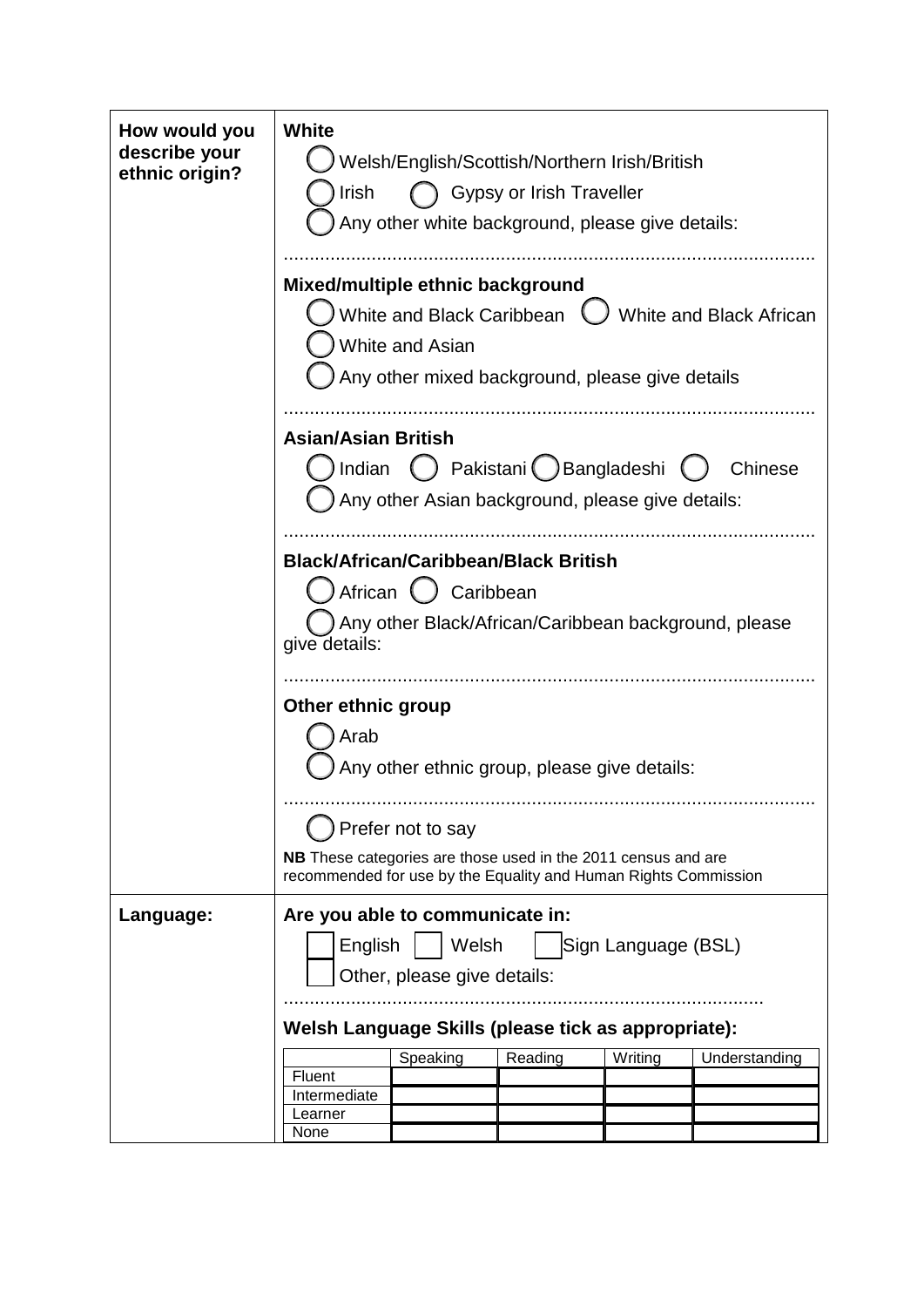| How would you<br>describe your | White<br>Welsh/English/Scottish/Northern Irish/British                                                                           |                           |                                                  |  |                         |
|--------------------------------|----------------------------------------------------------------------------------------------------------------------------------|---------------------------|--------------------------------------------------|--|-------------------------|
| ethnic origin?                 |                                                                                                                                  |                           |                                                  |  |                         |
|                                | Gypsy or Irish Traveller<br>Irish                                                                                                |                           |                                                  |  |                         |
|                                | Any other white background, please give details:                                                                                 |                           |                                                  |  |                         |
|                                |                                                                                                                                  |                           |                                                  |  |                         |
|                                | Mixed/multiple ethnic background                                                                                                 |                           |                                                  |  |                         |
|                                |                                                                                                                                  | White and Black Caribbean |                                                  |  | White and Black African |
|                                |                                                                                                                                  | White and Asian           |                                                  |  |                         |
|                                |                                                                                                                                  |                           | Any other mixed background, please give details  |  |                         |
|                                |                                                                                                                                  |                           |                                                  |  |                         |
|                                | <b>Asian/Asian British</b>                                                                                                       |                           |                                                  |  |                         |
|                                | Indian                                                                                                                           |                           | Pakistani ( Bangladeshi                          |  | Chinese                 |
|                                |                                                                                                                                  |                           | Any other Asian background, please give details: |  |                         |
|                                |                                                                                                                                  |                           |                                                  |  |                         |
|                                | <b>Black/African/Caribbean/Black British</b>                                                                                     |                           |                                                  |  |                         |
|                                |                                                                                                                                  | African ( ) Caribbean     |                                                  |  |                         |
|                                |                                                                                                                                  |                           |                                                  |  |                         |
|                                | Any other Black/African/Caribbean background, please<br>give details:                                                            |                           |                                                  |  |                         |
|                                |                                                                                                                                  |                           |                                                  |  |                         |
|                                | Other ethnic group                                                                                                               |                           |                                                  |  |                         |
|                                | Arab                                                                                                                             |                           |                                                  |  |                         |
|                                | Any other ethnic group, please give details:                                                                                     |                           |                                                  |  |                         |
|                                |                                                                                                                                  |                           |                                                  |  |                         |
|                                | Prefer not to say                                                                                                                |                           |                                                  |  |                         |
|                                | NB These categories are those used in the 2011 census and are<br>recommended for use by the Equality and Human Rights Commission |                           |                                                  |  |                         |
|                                |                                                                                                                                  |                           |                                                  |  |                         |
| Language:                      | Are you able to communicate in:                                                                                                  |                           |                                                  |  |                         |
|                                | English<br>Welsh<br>Sign Language (BSL)                                                                                          |                           |                                                  |  |                         |
|                                | Other, please give details:                                                                                                      |                           |                                                  |  |                         |
|                                |                                                                                                                                  |                           |                                                  |  |                         |
|                                | Welsh Language Skills (please tick as appropriate):                                                                              |                           |                                                  |  |                         |
|                                | Reading<br>Speaking<br>Writing<br>Understanding                                                                                  |                           |                                                  |  |                         |
|                                | Fluent<br>Intermediate                                                                                                           |                           |                                                  |  |                         |
|                                | Learner                                                                                                                          |                           |                                                  |  |                         |
|                                | None                                                                                                                             |                           |                                                  |  |                         |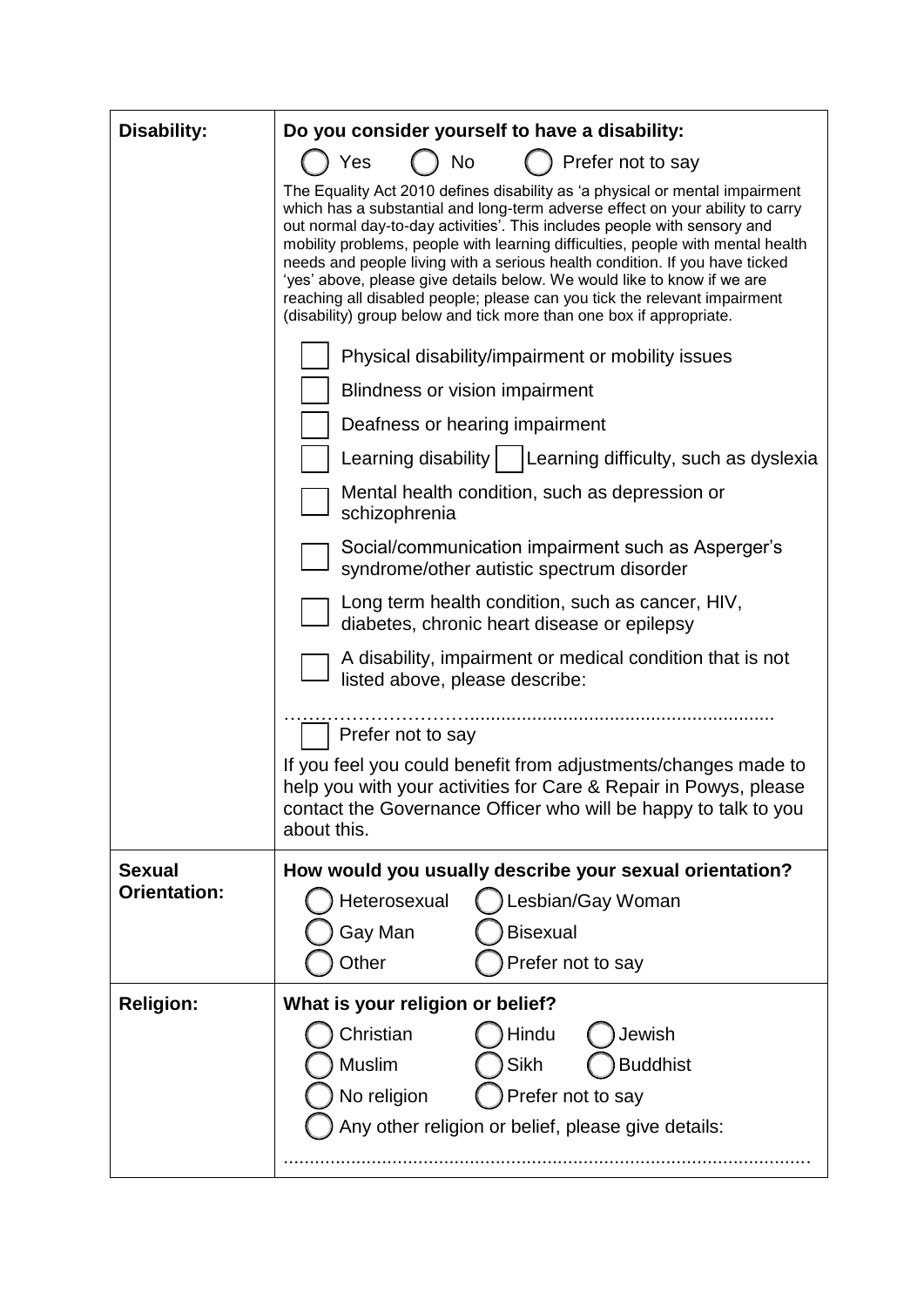| <b>Disability:</b>  | Do you consider yourself to have a disability:                                                                                                                                                                                                                                                                                                                                                                                                                                                                                                                                                                                             |  |  |  |
|---------------------|--------------------------------------------------------------------------------------------------------------------------------------------------------------------------------------------------------------------------------------------------------------------------------------------------------------------------------------------------------------------------------------------------------------------------------------------------------------------------------------------------------------------------------------------------------------------------------------------------------------------------------------------|--|--|--|
|                     | Prefer not to say<br>) No<br>Yes                                                                                                                                                                                                                                                                                                                                                                                                                                                                                                                                                                                                           |  |  |  |
|                     | The Equality Act 2010 defines disability as 'a physical or mental impairment<br>which has a substantial and long-term adverse effect on your ability to carry<br>out normal day-to-day activities'. This includes people with sensory and<br>mobility problems, people with learning difficulties, people with mental health<br>needs and people living with a serious health condition. If you have ticked<br>'yes' above, please give details below. We would like to know if we are<br>reaching all disabled people; please can you tick the relevant impairment<br>(disability) group below and tick more than one box if appropriate. |  |  |  |
|                     | Physical disability/impairment or mobility issues                                                                                                                                                                                                                                                                                                                                                                                                                                                                                                                                                                                          |  |  |  |
|                     | <b>Blindness or vision impairment</b>                                                                                                                                                                                                                                                                                                                                                                                                                                                                                                                                                                                                      |  |  |  |
|                     | Deafness or hearing impairment                                                                                                                                                                                                                                                                                                                                                                                                                                                                                                                                                                                                             |  |  |  |
|                     | Learning disability    Learning difficulty, such as dyslexia                                                                                                                                                                                                                                                                                                                                                                                                                                                                                                                                                                               |  |  |  |
|                     | Mental health condition, such as depression or<br>schizophrenia                                                                                                                                                                                                                                                                                                                                                                                                                                                                                                                                                                            |  |  |  |
|                     | Social/communication impairment such as Asperger's<br>syndrome/other autistic spectrum disorder                                                                                                                                                                                                                                                                                                                                                                                                                                                                                                                                            |  |  |  |
|                     | Long term health condition, such as cancer, HIV,<br>diabetes, chronic heart disease or epilepsy                                                                                                                                                                                                                                                                                                                                                                                                                                                                                                                                            |  |  |  |
|                     | A disability, impairment or medical condition that is not<br>listed above, please describe:                                                                                                                                                                                                                                                                                                                                                                                                                                                                                                                                                |  |  |  |
|                     | Prefer not to say                                                                                                                                                                                                                                                                                                                                                                                                                                                                                                                                                                                                                          |  |  |  |
|                     | If you feel you could benefit from adjustments/changes made to<br>help you with your activities for Care & Repair in Powys, please<br>contact the Governance Officer who will be happy to talk to you<br>about this.                                                                                                                                                                                                                                                                                                                                                                                                                       |  |  |  |
| <b>Sexual</b>       | How would you usually describe your sexual orientation?                                                                                                                                                                                                                                                                                                                                                                                                                                                                                                                                                                                    |  |  |  |
| <b>Orientation:</b> | Heterosexual<br>Lesbian/Gay Woman                                                                                                                                                                                                                                                                                                                                                                                                                                                                                                                                                                                                          |  |  |  |
|                     | <b>Bisexual</b><br>Gay Man                                                                                                                                                                                                                                                                                                                                                                                                                                                                                                                                                                                                                 |  |  |  |
|                     | Other<br>Prefer not to say                                                                                                                                                                                                                                                                                                                                                                                                                                                                                                                                                                                                                 |  |  |  |
| <b>Religion:</b>    | What is your religion or belief?                                                                                                                                                                                                                                                                                                                                                                                                                                                                                                                                                                                                           |  |  |  |
|                     | Christian<br>Hindu<br>Jewish                                                                                                                                                                                                                                                                                                                                                                                                                                                                                                                                                                                                               |  |  |  |
|                     | Muslim<br>Sikh<br><b>Buddhist</b>                                                                                                                                                                                                                                                                                                                                                                                                                                                                                                                                                                                                          |  |  |  |
|                     | No religion<br>Prefer not to say                                                                                                                                                                                                                                                                                                                                                                                                                                                                                                                                                                                                           |  |  |  |
|                     | Any other religion or belief, please give details:                                                                                                                                                                                                                                                                                                                                                                                                                                                                                                                                                                                         |  |  |  |
|                     |                                                                                                                                                                                                                                                                                                                                                                                                                                                                                                                                                                                                                                            |  |  |  |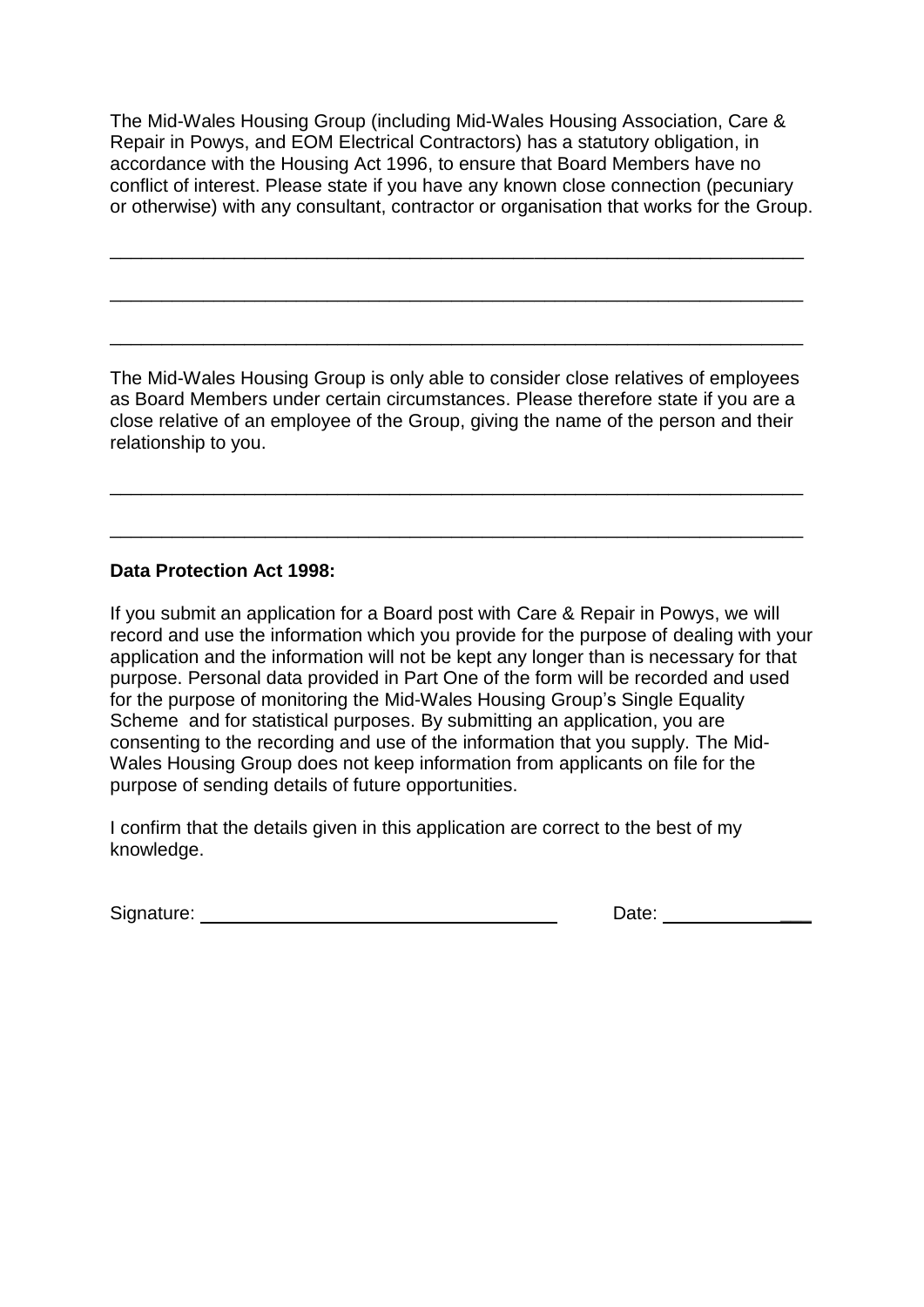The Mid-Wales Housing Group (including Mid-Wales Housing Association, Care & Repair in Powys, and EOM Electrical Contractors) has a statutory obligation, in accordance with the Housing Act 1996, to ensure that Board Members have no conflict of interest. Please state if you have any known close connection (pecuniary or otherwise) with any consultant, contractor or organisation that works for the Group.

\_\_\_\_\_\_\_\_\_\_\_\_\_\_\_\_\_\_\_\_\_\_\_\_\_\_\_\_\_\_\_\_\_\_\_\_\_\_\_\_\_\_\_\_\_\_\_\_\_\_\_\_\_\_\_\_\_\_\_\_\_\_\_\_\_\_\_

\_\_\_\_\_\_\_\_\_\_\_\_\_\_\_\_\_\_\_\_\_\_\_\_\_\_\_\_\_\_\_\_\_\_\_\_\_\_\_\_\_\_\_\_\_\_\_\_\_\_\_\_\_\_\_\_\_\_\_\_\_\_\_\_\_\_\_

\_\_\_\_\_\_\_\_\_\_\_\_\_\_\_\_\_\_\_\_\_\_\_\_\_\_\_\_\_\_\_\_\_\_\_\_\_\_\_\_\_\_\_\_\_\_\_\_\_\_\_\_\_\_\_\_\_\_\_\_\_\_\_\_\_\_\_

The Mid-Wales Housing Group is only able to consider close relatives of employees as Board Members under certain circumstances. Please therefore state if you are a close relative of an employee of the Group, giving the name of the person and their relationship to you.

\_\_\_\_\_\_\_\_\_\_\_\_\_\_\_\_\_\_\_\_\_\_\_\_\_\_\_\_\_\_\_\_\_\_\_\_\_\_\_\_\_\_\_\_\_\_\_\_\_\_\_\_\_\_\_\_\_\_\_\_\_\_\_\_\_\_\_

\_\_\_\_\_\_\_\_\_\_\_\_\_\_\_\_\_\_\_\_\_\_\_\_\_\_\_\_\_\_\_\_\_\_\_\_\_\_\_\_\_\_\_\_\_\_\_\_\_\_\_\_\_\_\_\_\_\_\_\_\_\_\_\_\_\_\_

#### **Data Protection Act 1998:**

If you submit an application for a Board post with Care & Repair in Powys, we will record and use the information which you provide for the purpose of dealing with your application and the information will not be kept any longer than is necessary for that purpose. Personal data provided in Part One of the form will be recorded and used for the purpose of monitoring the Mid-Wales Housing Group's Single Equality Scheme and for statistical purposes. By submitting an application, you are consenting to the recording and use of the information that you supply. The Mid-Wales Housing Group does not keep information from applicants on file for the purpose of sending details of future opportunities.

I confirm that the details given in this application are correct to the best of my knowledge.

Signature: **Date: Date: Date: Date: Date: Date: Date: Date: Date: Date: Date: Date: Date: Date: Date: Date: Date: Date: Date: Date: Date: Date: Date: Date: Date: Date: Da**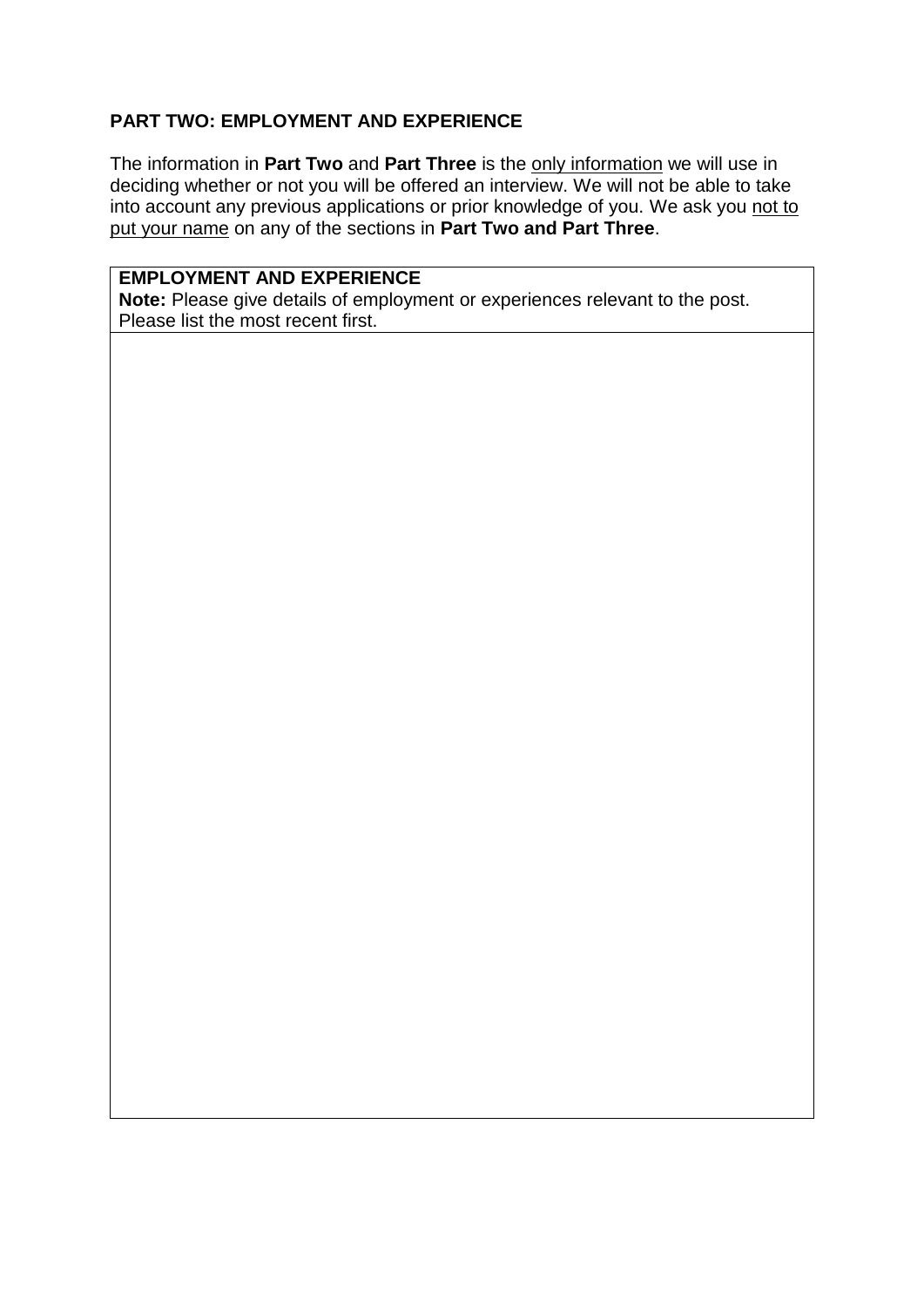#### **PART TWO: EMPLOYMENT AND EXPERIENCE**

The information in **Part Two** and **Part Three** is the only information we will use in deciding whether or not you will be offered an interview. We will not be able to take into account any previous applications or prior knowledge of you. We ask you not to put your name on any of the sections in **Part Two and Part Three**.

## **EMPLOYMENT AND EXPERIENCE**

**Note:** Please give details of employment or experiences relevant to the post. Please list the most recent first.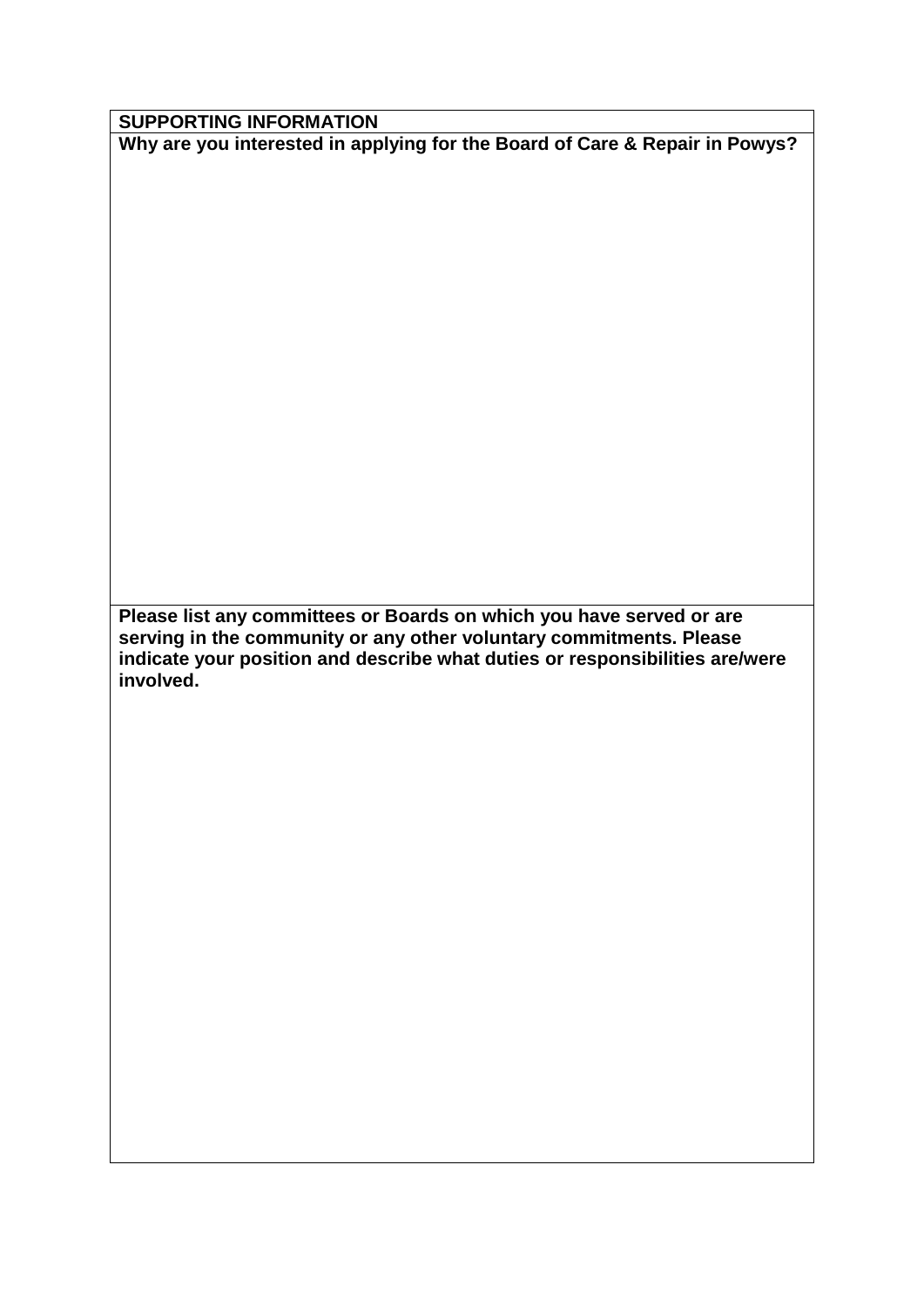**SUPPORTING INFORMATION** 

**Why are you interested in applying for the Board of Care & Repair in Powys?**

**Please list any committees or Boards on which you have served or are serving in the community or any other voluntary commitments. Please indicate your position and describe what duties or responsibilities are/were involved.**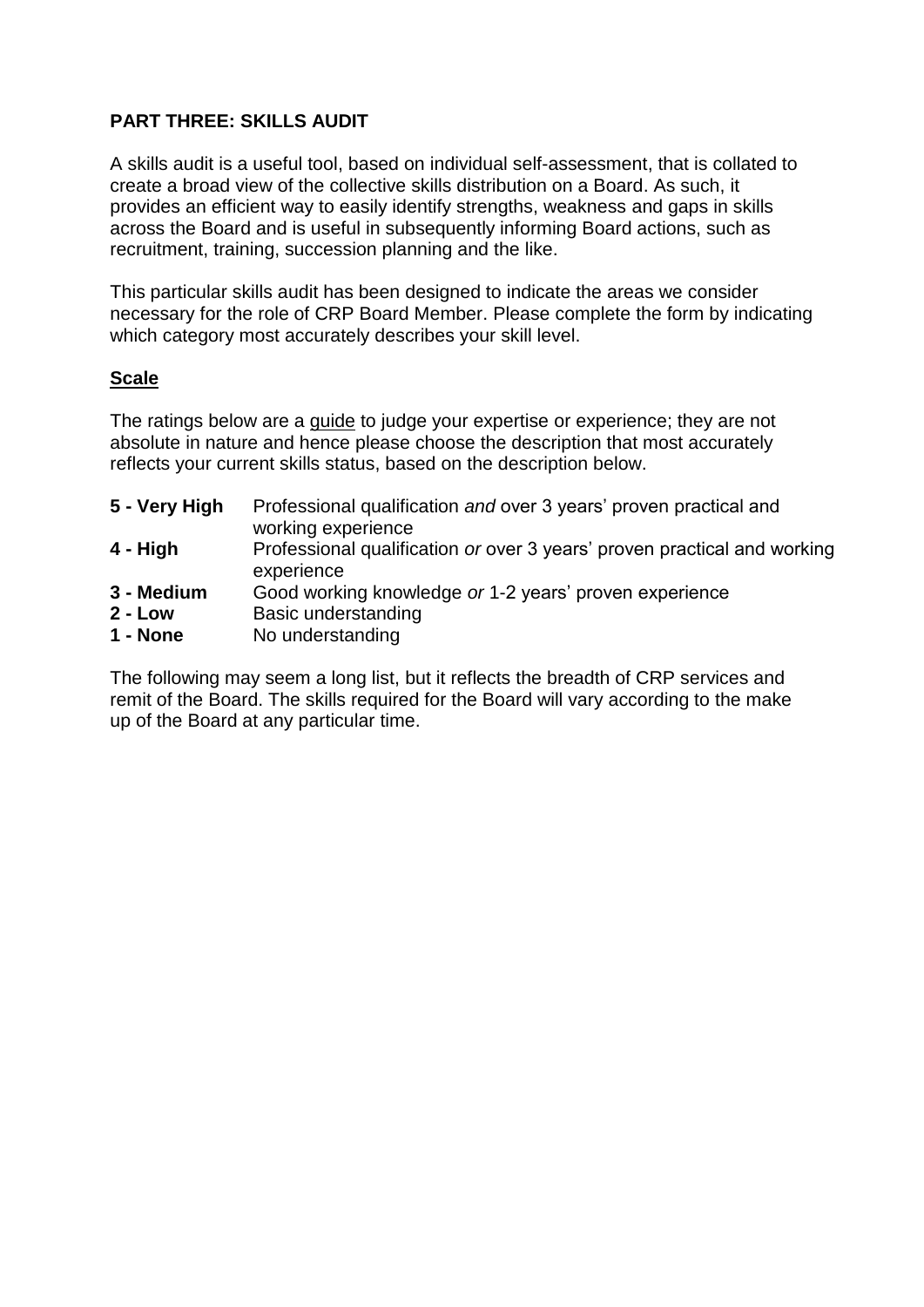# **PART THREE: SKILLS AUDIT**

A skills audit is a useful tool, based on individual self-assessment, that is collated to create a broad view of the collective skills distribution on a Board. As such, it provides an efficient way to easily identify strengths, weakness and gaps in skills across the Board and is useful in subsequently informing Board actions, such as recruitment, training, succession planning and the like.

This particular skills audit has been designed to indicate the areas we consider necessary for the role of CRP Board Member. Please complete the form by indicating which category most accurately describes your skill level.

# **Scale**

The ratings below are a guide to judge your expertise or experience; they are not absolute in nature and hence please choose the description that most accurately reflects your current skills status, based on the description below.

| 5 - Very High | Professional qualification and over 3 years' proven practical and                      |
|---------------|----------------------------------------------------------------------------------------|
|               | working experience                                                                     |
| 4 - High      | Professional qualification or over 3 years' proven practical and working<br>experience |
| 3 - Medium    | Good working knowledge or 1-2 years' proven experience                                 |
| $2 - Low$     | Basic understanding                                                                    |
| 1 - None      | No understanding                                                                       |

The following may seem a long list, but it reflects the breadth of CRP services and remit of the Board. The skills required for the Board will vary according to the make up of the Board at any particular time.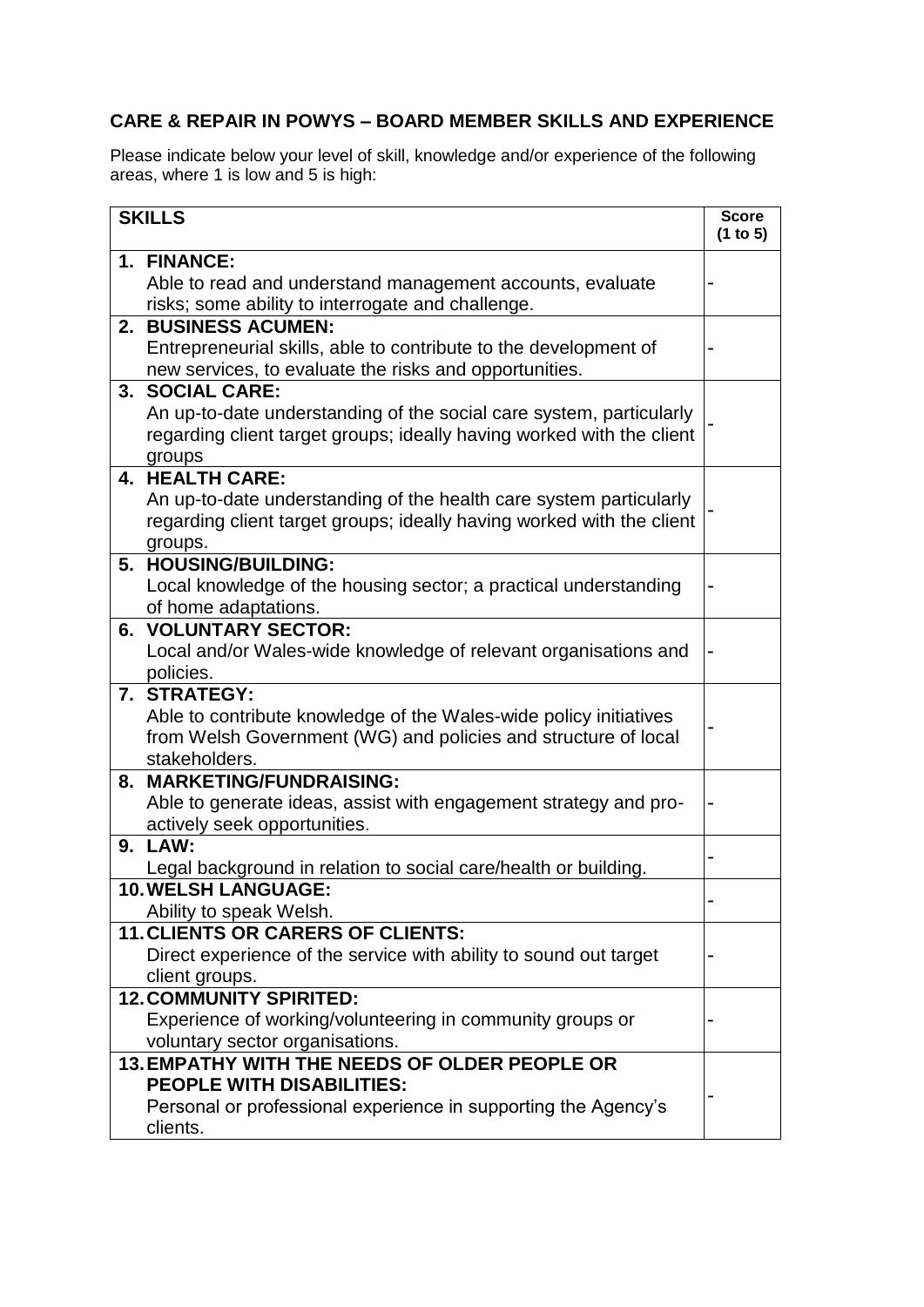# **CARE & REPAIR IN POWYS – BOARD MEMBER SKILLS AND EXPERIENCE**

Please indicate below your level of skill, knowledge and/or experience of the following areas, where 1 is low and 5 is high:

| <b>SKILLS</b>                                                         | <b>Score</b><br>(1 to 5) |
|-----------------------------------------------------------------------|--------------------------|
| 1. FINANCE:                                                           |                          |
| Able to read and understand management accounts, evaluate             |                          |
| risks; some ability to interrogate and challenge.                     |                          |
| 2. BUSINESS ACUMEN:                                                   |                          |
| Entrepreneurial skills, able to contribute to the development of      |                          |
| new services, to evaluate the risks and opportunities.                |                          |
| 3. SOCIAL CARE:                                                       |                          |
| An up-to-date understanding of the social care system, particularly   |                          |
| regarding client target groups; ideally having worked with the client |                          |
| groups                                                                |                          |
| 4. HEALTH CARE:                                                       |                          |
| An up-to-date understanding of the health care system particularly    |                          |
| regarding client target groups; ideally having worked with the client |                          |
| groups.                                                               |                          |
| 5. HOUSING/BUILDING:                                                  |                          |
| Local knowledge of the housing sector; a practical understanding      |                          |
| of home adaptations.<br><b>6. VOLUNTARY SECTOR:</b>                   |                          |
| Local and/or Wales-wide knowledge of relevant organisations and       |                          |
| policies.                                                             |                          |
| 7. STRATEGY:                                                          |                          |
| Able to contribute knowledge of the Wales-wide policy initiatives     |                          |
| from Welsh Government (WG) and policies and structure of local        |                          |
| stakeholders.                                                         |                          |
| 8. MARKETING/FUNDRAISING:                                             |                          |
| Able to generate ideas, assist with engagement strategy and pro-      |                          |
| actively seek opportunities.                                          |                          |
| 9. LAW:                                                               |                          |
| Legal background in relation to social care/health or building.       |                          |
| <b>10. WELSH LANGUAGE:</b>                                            |                          |
| Ability to speak Welsh.                                               |                          |
| <b>11. CLIENTS OR CARERS OF CLIENTS:</b>                              |                          |
| Direct experience of the service with ability to sound out target     |                          |
| client groups.<br><b>12. COMMUNITY SPIRITED:</b>                      |                          |
| Experience of working/volunteering in community groups or             |                          |
| voluntary sector organisations.                                       |                          |
| 13. EMPATHY WITH THE NEEDS OF OLDER PEOPLE OR                         |                          |
| <b>PEOPLE WITH DISABILITIES:</b>                                      |                          |
| Personal or professional experience in supporting the Agency's        |                          |
| clients.                                                              |                          |